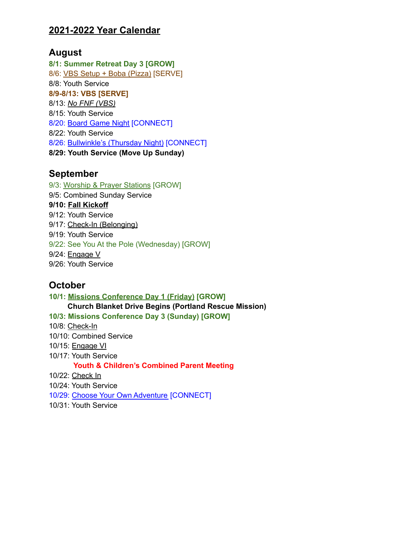### **2021-2022 Year Calendar**

### **August**

**8/1: Summer Retreat Day 3 [GROW]** 8/6: VBS Setup + Boba (Pizza) [SERVE] 8/8: Youth Service **8/9-8/13: VBS [SERVE]** 8/13: *No FNF (VBS)* 8/15: Youth Service 8/20: Board Game Night [CONNECT] 8/22: Youth Service 8/26: Bullwinkle's (Thursday Night) [CONNECT] **8/29: Youth Service (Move Up Sunday)**

#### **September**

9/3: Worship & Prayer Stations [GROW] 9/5: Combined Sunday Service **9/10: Fall Kickoff** 9/12: Youth Service 9/17: Check-In (Belonging) 9/19: Youth Service 9/22: See You At the Pole (Wednesday) [GROW] 9/24: Engage V 9/26: Youth Service

## **October**

**10/1: Missions Conference Day 1 (Friday) [GROW] Church Blanket Drive Begins (Portland Rescue Mission) 10/3: Missions Conference Day 3 (Sunday) [GROW]** 10/8: Check-In 10/10: Combined Service 10/15: Engage VI 10/17: Youth Service **Youth & Children's Combined Parent Meeting** 10/22: Check In 10/24: Youth Service 10/29: Choose Your Own Adventure [CONNECT] 10/31: Youth Service